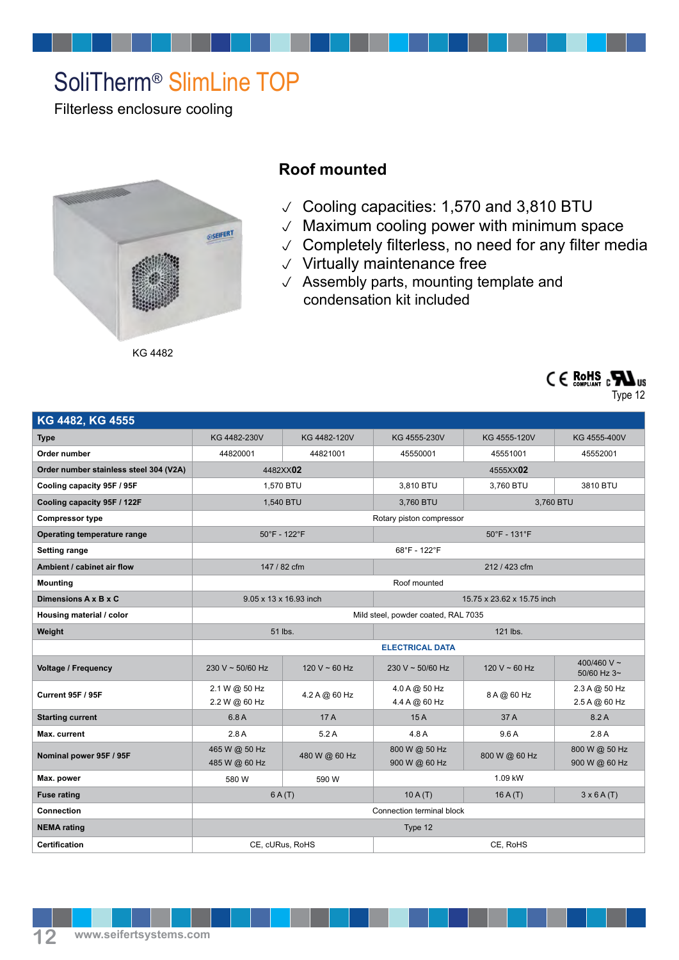## SoliTherm® SlimLine TOP

Filterless enclosure cooling



## **Roof mounted**

- Cooling capacities: 1,570 and 3,810 BTU
- $\vee$  Maximum cooling power with minimum space
- $\vee$  Completely filterless, no need for any filter media
- $\vee$  Virtually maintenance free
- $\sqrt{\phantom{a}}$  Assembly parts, mounting template and condensation kit included

| KG 4482, KG 4555                       |                                     |               |                                       |                    |                                |  |
|----------------------------------------|-------------------------------------|---------------|---------------------------------------|--------------------|--------------------------------|--|
| <b>Type</b>                            | KG 4482-230V                        | KG 4482-120V  | KG 4555-230V                          | KG 4555-120V       | KG 4555-400V                   |  |
| Order number                           | 44820001                            | 44821001      | 45550001                              | 45551001           | 45552001                       |  |
| Order number stainless steel 304 (V2A) | 4482XX02                            |               | 4555XX02                              |                    |                                |  |
| Cooling capacity 95F / 95F             | 1,570 BTU                           |               | 3,810 BTU                             | 3,760 BTU          | 3810 BTU                       |  |
| Cooling capacity 95F / 122F            | 1,540 BTU                           |               | 3,760 BTU                             | 3,760 BTU          |                                |  |
| <b>Compressor type</b>                 | Rotary piston compressor            |               |                                       |                    |                                |  |
| Operating temperature range            | 50°F - 122°F                        |               | $50^{\circ}$ F - 131 $^{\circ}$ F     |                    |                                |  |
| Setting range                          | 68°F - 122°F                        |               |                                       |                    |                                |  |
| Ambient / cabinet air flow             | 147 / 82 cfm                        |               | 212 / 423 cfm                         |                    |                                |  |
| Mounting                               | Roof mounted                        |               |                                       |                    |                                |  |
| Dimensions A x B x C                   | 9.05 x 13 x 16.93 inch              |               | 15.75 x 23.62 x 15.75 inch            |                    |                                |  |
| Housing material / color               | Mild steel, powder coated, RAL 7035 |               |                                       |                    |                                |  |
| Weight                                 | 51 lbs.                             |               | 121 lbs.                              |                    |                                |  |
|                                        | <b>ELECTRICAL DATA</b>              |               |                                       |                    |                                |  |
| Voltage / Frequency                    | 230 V ~ 50/60 Hz                    | 120 V ~ 60 Hz | $230 V \sim 50/60 Hz$                 | 120 V $\sim$ 60 Hz | 400/460 V ~<br>50/60 Hz 3~     |  |
| <b>Current 95F / 95F</b>               | 2.1 W @ 50 Hz<br>2.2 W @ 60 Hz      | 4.2 A @ 60 Hz | 4.0 A @ 50 Hz<br>4.4 A @ 60 Hz        | 8 A @ 60 Hz        | 2.3 A @ 50 Hz<br>2.5 A @ 60 Hz |  |
| <b>Starting current</b>                | 6.8 A                               | 17 A          | 15A                                   | 37 A               | 8.2A                           |  |
| Max. current                           | 2.8A                                | 5.2A          | 4.8 A                                 | 9.6A               | 2.8A                           |  |
| Nominal power 95F / 95F                | 465 W @ 50 Hz<br>485 W @ 60 Hz      | 480 W @ 60 Hz | 800 W @ 50 Hz<br>900 W @ 60 Hz        | 800 W @ 60 Hz      | 800 W @ 50 Hz<br>900 W @ 60 Hz |  |
| Max. power                             | 580 W                               | 590 W         | 1.09 kW                               |                    |                                |  |
| <b>Fuse rating</b>                     | 6A(T)                               |               | 10A(T)<br>$3 \times 6$ A(T)<br>16A(T) |                    |                                |  |
| Connection                             | Connection terminal block           |               |                                       |                    |                                |  |
| <b>NEMA</b> rating                     | Type 12                             |               |                                       |                    |                                |  |
| Certification                          | CE, cURus, RoHS<br>CE, RoHS         |               |                                       |                    |                                |  |
|                                        |                                     |               |                                       |                    |                                |  |



Type 12

 $90$  Hz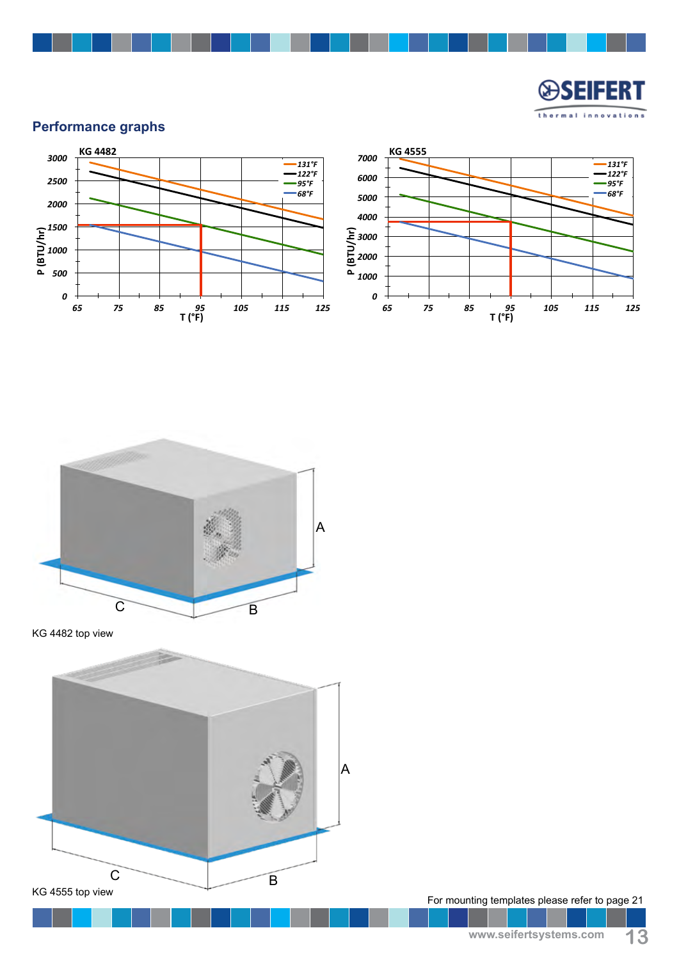

## **Performance graphs**





KG 4482 top view



For mounting templates please refer to page 21